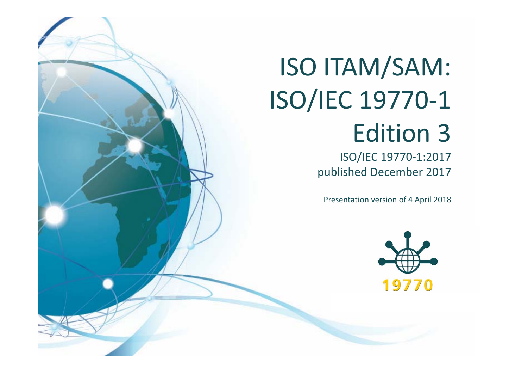# ISO ITAM/SAM: ISO/IEC 19770‐1 Edition 3

ISO/IEC 19770‐1:2017 published December 2017

Presentation version of 4 April 2018

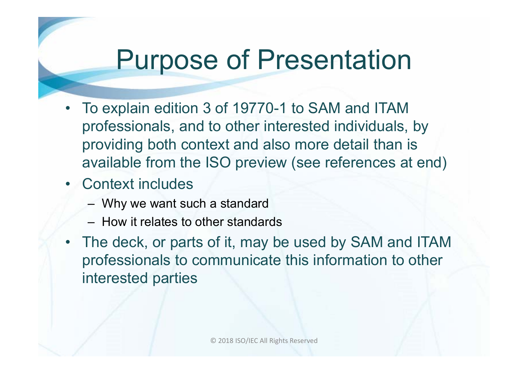## Purpose of Presentation

- To explain edition 3 of 19770-1 to SAM and ITAM professionals, and to other interested individuals, by providing both context and also more detail than is available from the ISO preview (see references at end)
- Context includes
	- Why we want such a standard
	- How it relates to other standards
- The deck, or parts of it, may be used by SAM and ITAM professionals to communicate this information to other interested parties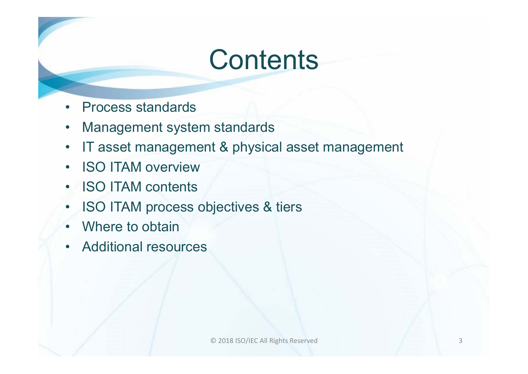## **Contents**

- •Process standards
- •Management system standards
- $\bullet$ IT asset management & physical asset management
- $\bullet$ ISO ITAM overview
- •**ISO ITAM contents**
- •ISO ITAM process objectives & tiers
- •Where to obtain
- •Additional resources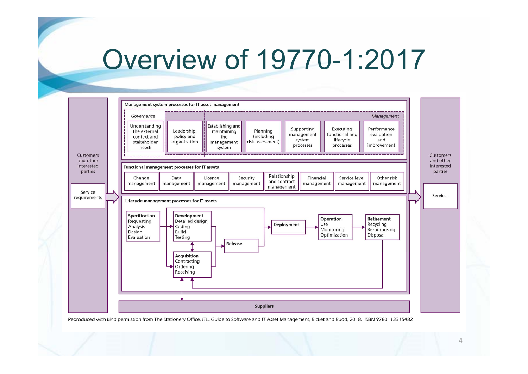### Overview of 19770-1:2017

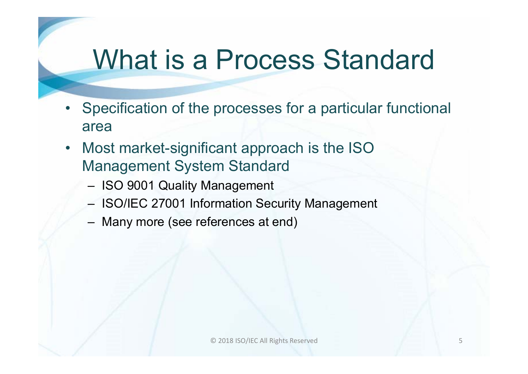## What is a Process Standard

- Specification of the processes for a particular functional area
- Most market-significant approach is the ISO Management System Standard
	- ISO 9001 Quality Management
	- ISO/IEC 27001 Information Security Management
	- Many more (see references at end)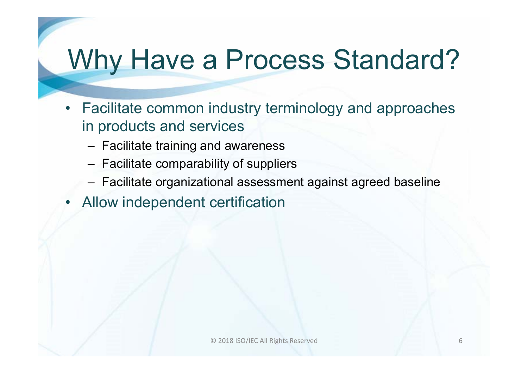## Why Have a Process Standard?

- Facilitate common industry terminology and approaches in products and services
	- Facilitate training and awareness
	- Facilitate comparability of suppliers
	- Facilitate organizational assessment against agreed baseline
- •Allow independent certification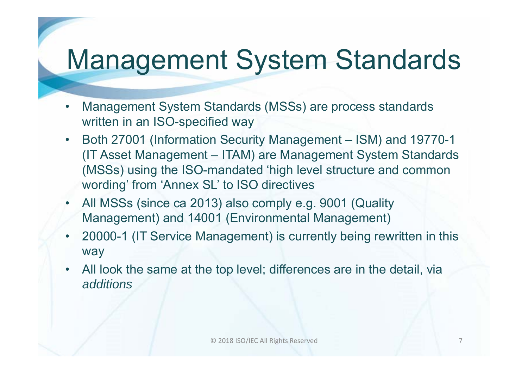## Management System Standards

- • Management System Standards (MSSs) are process standards written in an ISO-specified way
- $\bullet$  Both 27001 (Information Security Management – ISM) and 19770-1 (IT Asset Management – ITAM) are Management System Standards (MSSs) using the ISO-mandated 'high level structure and common wording' from 'Annex SL' to ISO directives
- • All MSSs (since ca 2013) also comply e.g. 9001 (Quality Management) and 14001 (Environmental Management)
- 20000-1 (IT Service Management) is currently being rewritten in this way
- • All look the same at the top level; differences are in the detail, via *additions*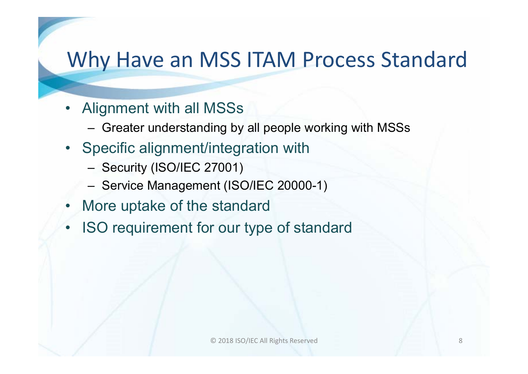### Why Have an MSS ITAM Process Standard

- Alignment with all MSSs
	- Greater understanding by all people working with MSSs
- Specific alignment/integration with
	- Security (ISO/IEC 27001)
	- Service Management (ISO/IEC 20000-1)
- •More uptake of the standard
- •ISO requirement for our type of standard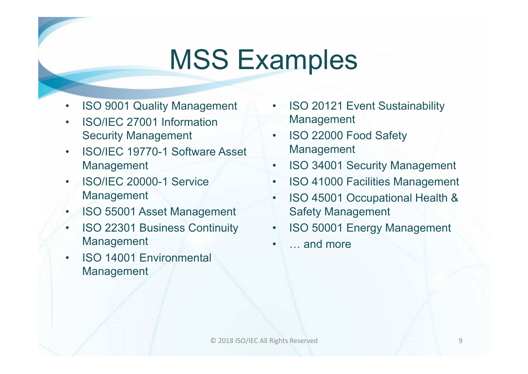## MSS Examples

- •ISO 9001 Quality Management
- • ISO/IEC 27001 Information Security Management
- • ISO/IEC 19770-1 Software Asset Management
- • ISO/IEC 20000-1 Service Management
- •ISO 55001 Asset Management
- • ISO 22301 Business Continuity Management
- • ISO 14001 Environmental **Management**
- • ISO 20121 Event Sustainability Management
- • ISO 22000 Food Safety Management
- •ISO 34001 Security Management
- •ISO 41000 Facilities Management
- • ISO 45001 Occupational Health & Safety Management
- •ISO 50001 Energy Management
- •… and more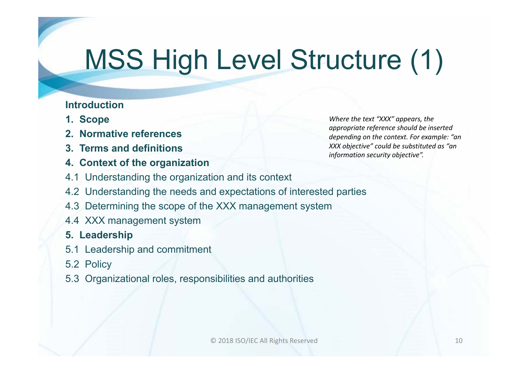# MSS High Level Structure (1)

#### **Introduction**

- **1. Scope**
- **2. Normative references**
- **3. Terms and definitions**
- **4. Context of the organization**

*Where the text "XXX" appears, the appropriate reference should be inserted depending on the context. For example: "an XXX objective" could be substituted as "an information security objective".*

- 4.1 Understanding the organization and its context
- 4.2 Understanding the needs and expectations of interested parties
- 4.3 Determining the scope of the XXX management system
- 4.4 XXX management system

### **5. Leadership**

- 5.1 Leadership and commitment
- 5.2 Policy
- 5.3 Organizational roles, responsibilities and authorities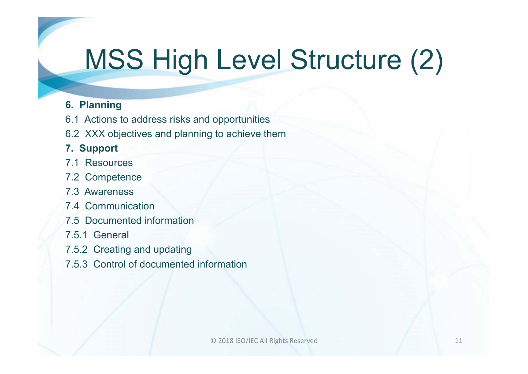# MSS High Level Structure (2)

### **6. Planning**

- 6.1 Actions to address risks and opportunities
- 6.2 XXX objectives and planning to achieve them

### **7. Support**

- 7.1 Resources
- 7.2 Competence
- 7.3 Awareness
- 7.4 Communication
- 7.5 Documented information
- 7.5.1 General
- 7.5.2 Creating and updating
- 7.5.3 Control of documented information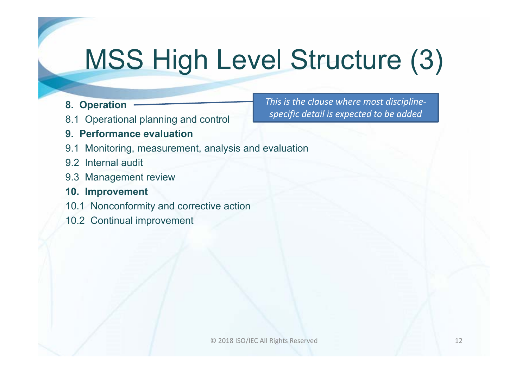# MSS High Level Structure (3)

- **8. Operation**
- 8.1 Operational planning and control
- **9. Performance evaluation**
- 9.1 Monitoring, measurement, analysis and evaluation
- 9.2 Internal audit
- 9.3 Management review
- **10. Improvement**
- 10.1 Nonconformity and corrective action
- 10.2 Continual improvement

*This is the clause where most discipline‐ specific detail is expected to be added*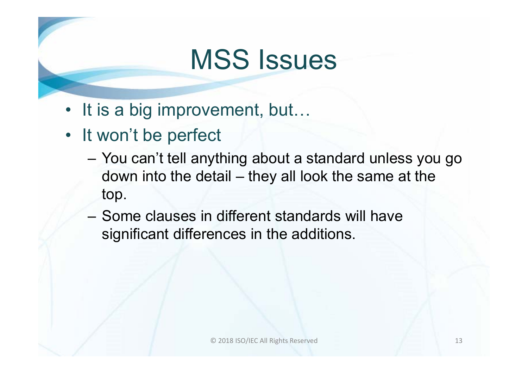## MSS Issues

- It is a big improvement, but...
- It won't be perfect
	- You can't tell anything about a standard unless you go down into the detail – they all look the same at the top.
	- Some clauses in different standards will have significant differences in the additions.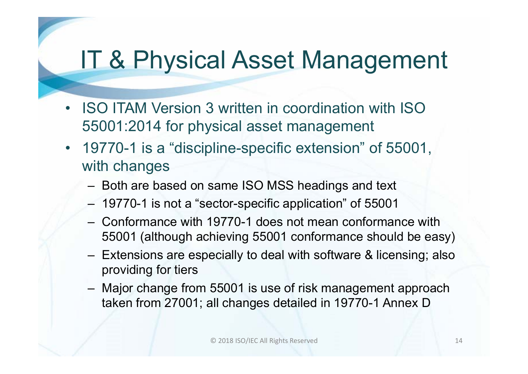### IT & Physical Asset Management

- • ISO ITAM Version 3 written in coordination with ISO 55001:2014 for physical asset management
- 19770-1 is a "discipline-specific extension" of 55001, with changes
	- Both are based on same ISO MSS headings and text
	- 19770-1 is not a "sector-specific application" of 55001
	- Conformance with 19770-1 does not mean conformance with 55001 (although achieving 55001 conformance should be easy)
	- Extensions are especially to deal with software & licensing; also providing for tiers
	- Major change from 55001 is use of risk management approach taken from 27001; all changes detailed in 19770-1 Annex D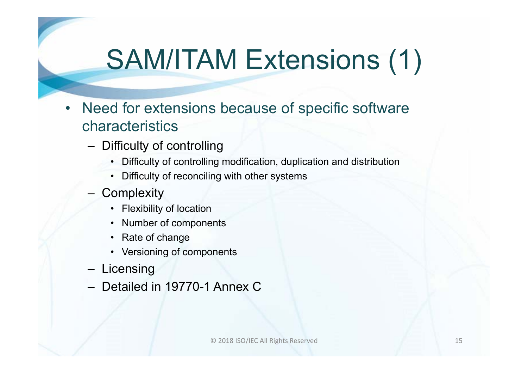# SAM/ITAM Extensions (1)

- • Need for extensions because of specific software characteristics
	- Difficulty of controlling
		- Difficulty of controlling modification, duplication and distribution
		- Difficulty of reconciling with other systems
	- **Complexity** 
		- Flexibility of location
		- Number of components
		- Rate of change
		- Versioning of components
	- **Licensing**
	- Detailed in 19770-1 Annex C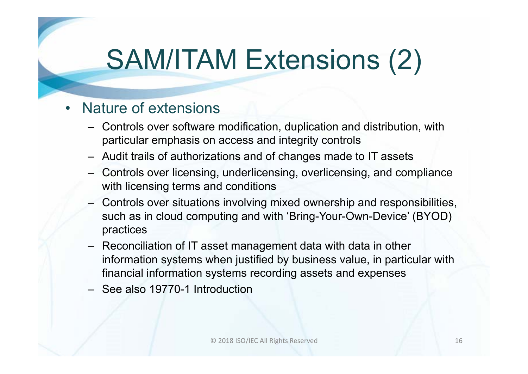# SAM/ITAM Extensions (2)

#### •Nature of extensions

- Controls over software modification, duplication and distribution, with particular emphasis on access and integrity controls
- Audit trails of authorizations and of changes made to IT asset s
- Controls over licensing, underlicensing, overlicensing, and compliance with licensing terms and conditions
- Controls over situations involving mixed ownership and responsibilities, such as in cloud computing and with 'Bring-Your-Own-Device' (BYOD) practices
- Reconciliation of IT asset management data with data in other information systems when justified by business value, in particular with financial information systems recording assets and expenses
- See also 19770-1 Introduction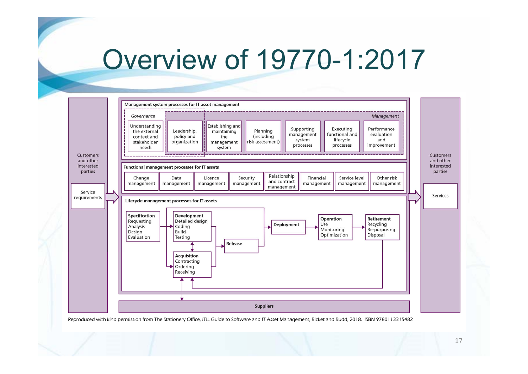### Overview of 19770-1:2017

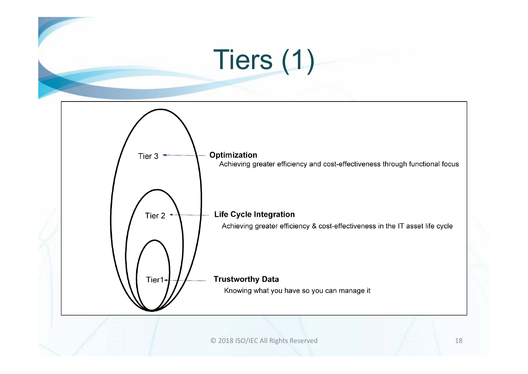# Tiers (1)

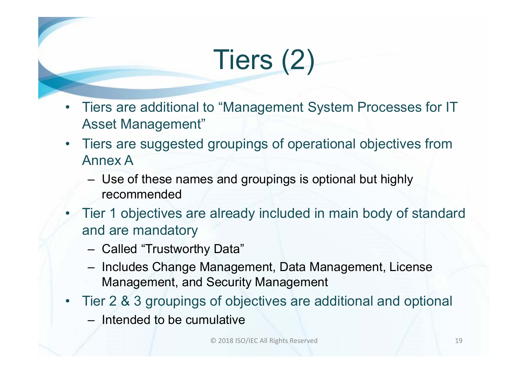# Tiers (2)

- • Tiers are additional to "Management System Processes for IT Asset Management"
- • Tiers are suggested groupings of operational objectives from Annex A
	- Use of these names and groupings is optional but highly recommended
- Tier 1 objectives are already included in main body of standard and are mandatory
	- Called "Trustworthy Data"
	- Includes Change Management, Data Management, License Management, and Security Management
- Tier 2 & 3 groupings of objectives are additional and optional
	- Intended to be cumulative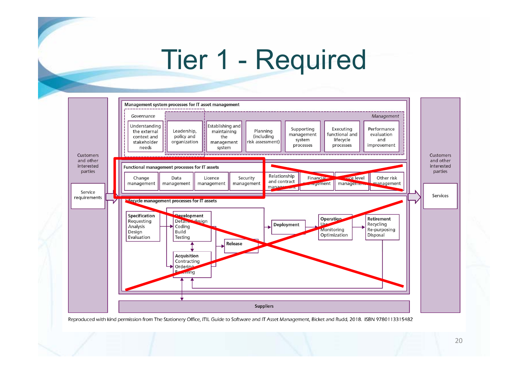## Tier 1 - Required

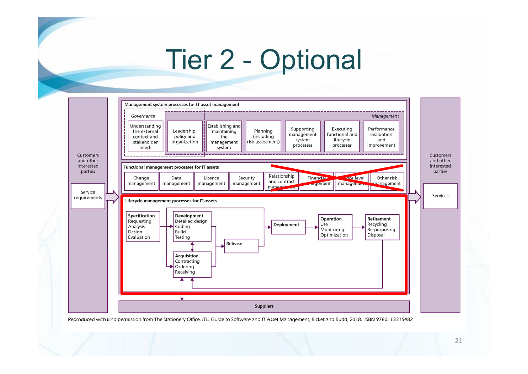## Tier 2 - Optional

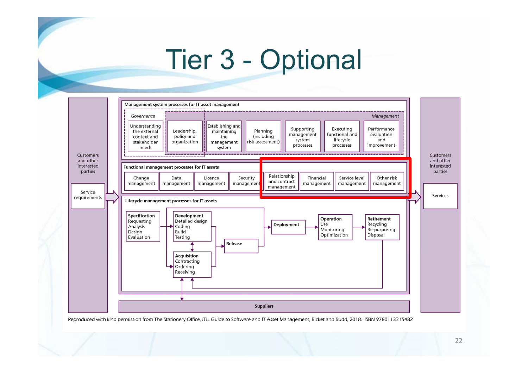## Tier 3 - Optional

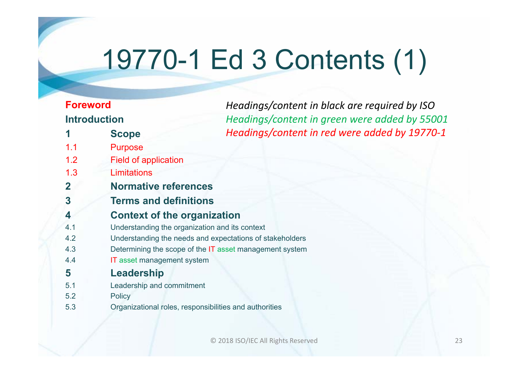# 19770-1 Ed 3 Contents (1)

*Headings/content in black are required by ISO*

### **Foreword Introduction**

|             | <b>Introduction</b>                                    | Headings/content in green were added by 55001            |
|-------------|--------------------------------------------------------|----------------------------------------------------------|
|             | <b>Scope</b>                                           | Headings/content in red were added by 19770-1            |
| 1.1         | <b>Purpose</b>                                         |                                                          |
| 1.2         | <b>Field of application</b>                            |                                                          |
| 1.3         | <b>Limitations</b>                                     |                                                          |
| $\mathbf 2$ | <b>Normative references</b>                            |                                                          |
| 3           | <b>Terms and definitions</b>                           |                                                          |
| 4           | <b>Context of the organization</b>                     |                                                          |
| 4.1         | Understanding the organization and its context         |                                                          |
| 4.2         |                                                        | Understanding the needs and expectations of stakeholders |
| 4.3         |                                                        | Determining the scope of the IT asset management system  |
| 4.4         | <b>IT</b> asset management system                      |                                                          |
| 5           | Leadership                                             |                                                          |
| 5.1         | Leadership and commitment                              |                                                          |
| 5.2         | <b>Policy</b>                                          |                                                          |
| 5.3         | Organizational roles, responsibilities and authorities |                                                          |

© 2018 ISO/IEC All Rights Reserved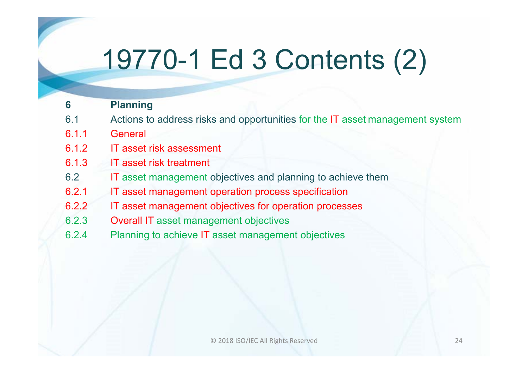# 19770-1 Ed 3 Contents (2)

#### **6 Planning**

- 6.1 Actions to address risks and opportunities for the IT asset management system
- 6.1.1 General
- 6.1.2 IT asset risk assessment
- 6.1.3 IT asset risk treatment
- 6.2 ITIT asset management objectives and planning to achieve them
- 6.2.1 IT asset management operation process specification
- 6.2.2 IT asset management objectives for operation processes
- 6.2.3Overall IT asset management objectives
- 6.2.4 Planning to achieve IT asset management objectives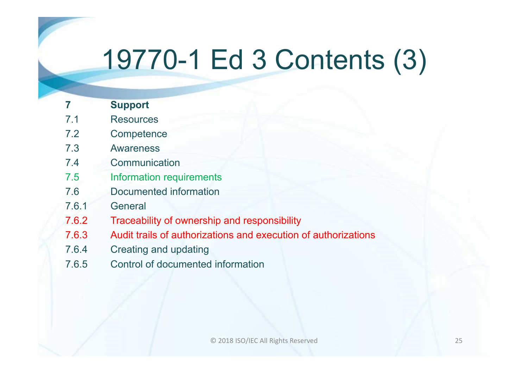# 19770-1 Ed 3 Contents (3)

|       | <b>Support</b>                                                 |
|-------|----------------------------------------------------------------|
| 7.1   | <b>Resources</b>                                               |
| 7.2   | Competence                                                     |
| 7.3   | <b>Awareness</b>                                               |
| 7.4   | Communication                                                  |
| 7.5   | <b>Information requirements</b>                                |
| 7.6   | Documented information                                         |
| 7.6.1 | General                                                        |
| 7.6.2 | Traceability of ownership and responsibility                   |
| 7.6.3 | Audit trails of authorizations and execution of authorizations |
| 7.6.4 | <b>Creating and updating</b>                                   |
|       |                                                                |

7.6.5 Control of documented information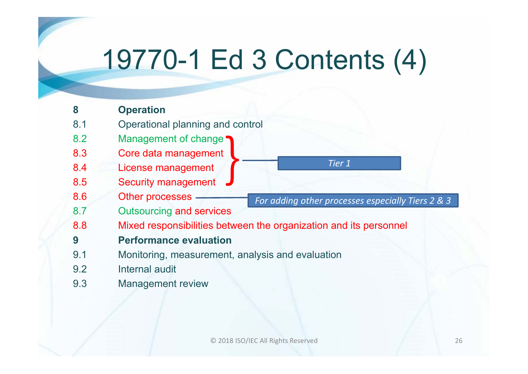# 19770-1 Ed 3 Contents (4)

| 8   | <b>Operation</b>                                                            |
|-----|-----------------------------------------------------------------------------|
| 8.1 | Operational planning and control                                            |
| 8.2 | Management of change                                                        |
| 8.3 | Core data management                                                        |
| 8.4 | Tier 1<br>License management                                                |
| 8.5 | <b>Security management</b>                                                  |
| 8.6 | <b>Other processes</b><br>For adding other processes especially Tiers 2 & 3 |
| 8.7 | <b>Outsourcing and services</b>                                             |
| 8.8 | Mixed responsibilities between the organization and its personnel           |
| 9   | <b>Performance evaluation</b>                                               |
| 9.1 | Monitoring, measurement, analysis and evaluation                            |
| 9.2 | Internal audit                                                              |
| 9.3 | <b>Management review</b>                                                    |
|     |                                                                             |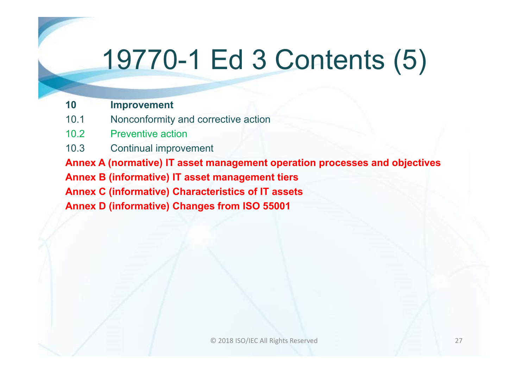# 19770-1 Ed 3 Contents (5)

#### **10 Improvement**

- 10.1 Nonconformity and corrective action
- 10.2 Preventive action
- 10.3 Continual improvement

**Annex A (normative) IT asset management operation processes and objectives Annex B (informative) IT asset management tiers Annex C (informative) Characteristics of IT assets Annex D (informative) Changes from ISO 55001**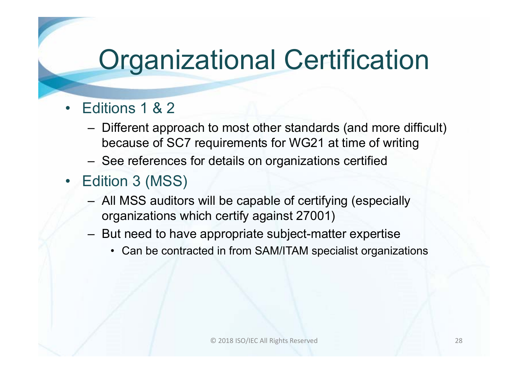# Organizational Certification

- • Editions 1 & 2
	- Different approach to most other standards (and more difficult) because of SC7 requirements for WG21 at time of writing
	- See references for details on organizations certified
- $\bullet$  Edition 3 (MSS)
	- All MSS auditors will be capable of certifying (especially organizations which certify against 27001)
	- But need to have appropriate subject-matter expertise
		- Can be contracted in from SAM/ITAM specialist organizations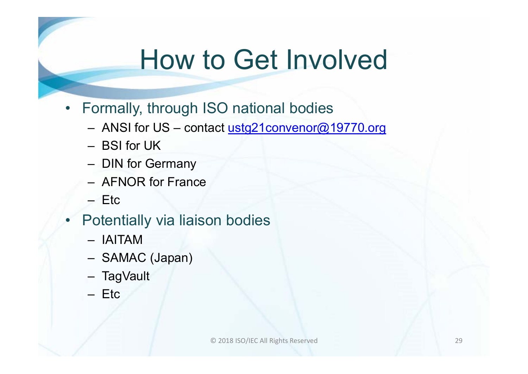## How to Get Involved

- Formally, through ISO national bodies
	- ANSI for US contact <u>ustg21convenor@19770.org</u>
	- BSI for UK
	- DIN for Germany
	- AFNOR for France
	- Etc
- • Potentially via liaison bodies
	- IAITAM
	- SAMAC (Japan)
	- TagVault
	- Etc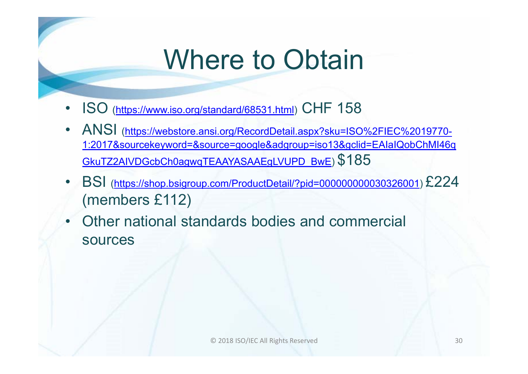# Where to Obtain

- •ISO (https://www.iso.org/standard/68531.html) CHF 158
- • ANSI (https://webstore.ansi.org/RecordDetail.aspx?sku=ISO%2FIEC%2019770- 1:2017&sourcekeyword=&source=google&adgroup=iso13&gclid=EAIaIQobChMI46q GkuTZ2AIVDGcbCh0agwqTEAAYASAAEgLVUPD\_BwE) \$185
- • BSI (https://shop.bsigroup.com/ProductDetail/?pid=000000000030326001) £224 (members £112)
- • Other national standards bodies and commercial sources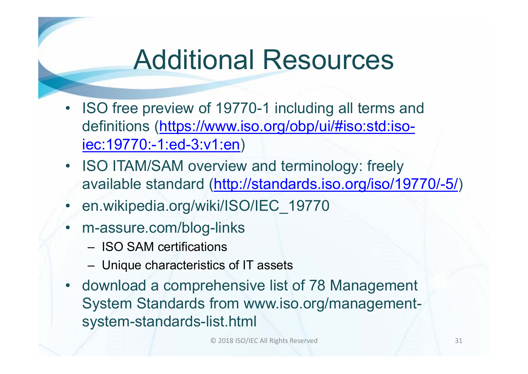## Additional Resources

- ISO free preview of 19770-1 including all terms and definitions (https://www.iso.org/obp/ui/#iso:std:isoiec:19770:-1:ed-3:v1:en)
- ISO ITAM/SAM overview and terminology: freely available standard (http://standards.iso.org/iso/19770/-5/)
- •en.wikipedia.org/wiki/ISO/IEC\_19770
- m-assure.com/blog-links
	- ISO SAM certifications
	- Unique characteristics of IT assets
- download a comprehensive list of 78 Management System Standards from www.iso.org/managementsystem-standards-list.html